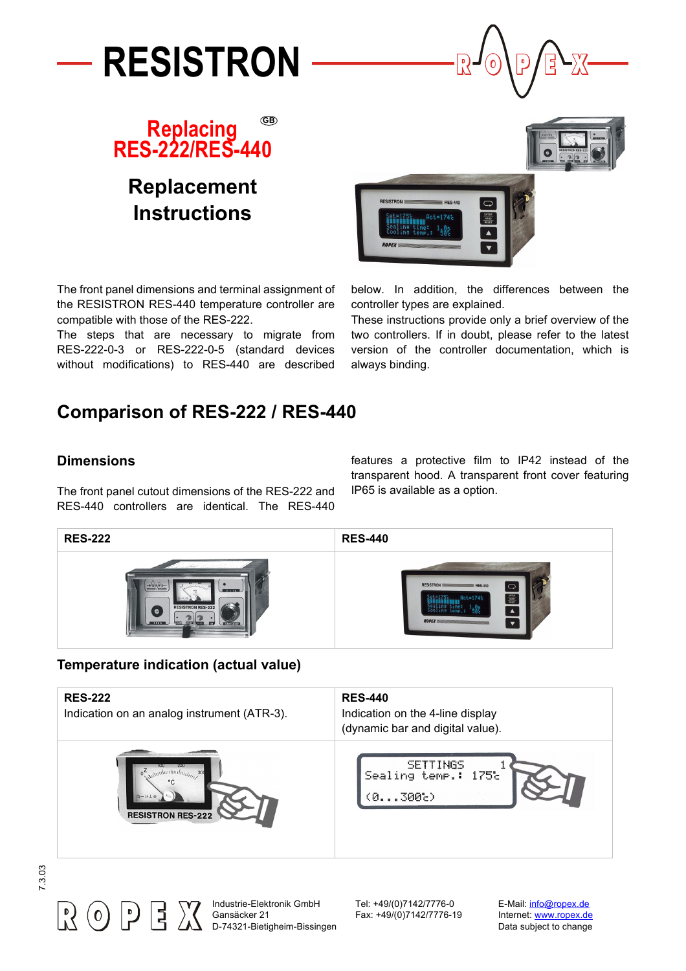





# **Replacement Instructions**





The front panel dimensions and terminal assignment of the RESISTRON RES-440 temperature controller are compatible with those of the RES-222.

The steps that are necessary to migrate from RES-222-0-3 or RES-222-0-5 (standard devices without modifications) to RES-440 are described

below. In addition, the differences between the controller types are explained.

These instructions provide only a brief overview of the two controllers. If in doubt, please refer to the latest version of the controller documentation, which is always binding.

## **Comparison of RES-222 / RES-440**

#### **Dimensions**

The front panel cutout dimensions of the RES-222 and RES-440 controllers are identical. The RES-440

features a protective film to IP42 instead of the transparent hood. A transparent front cover featuring IP65 is available as a option.



#### **Temperature indication (actual value)**

| <b>RES-222</b><br>Indication on an analog instrument (ATR-3). | <b>RES-440</b><br>Indication on the 4-line display<br>(dynamic bar and digital value). |
|---------------------------------------------------------------|----------------------------------------------------------------------------------------|
| $\circ \frac{Z}{\sqrt{2}}$                                    | <b>SETTINGS</b>                                                                        |
| $0 - 25 + 4$                                                  | Sealing temp.: 175%                                                                    |
| <b>RESISTRON RES-222</b>                                      | (0300c)                                                                                |





Industrie-Elektronik GmbH Tel: +49/(0)7142/7776-0 E-Mail: [info@ropex.de](mailto:info@ropex.de) Gansäcker 21 Fax: +49/(0)7142/7776-19 Internet: [www.ropex.de](http://www.ropex.de) D-74321-Bietigheim-Bissingen Data subject to change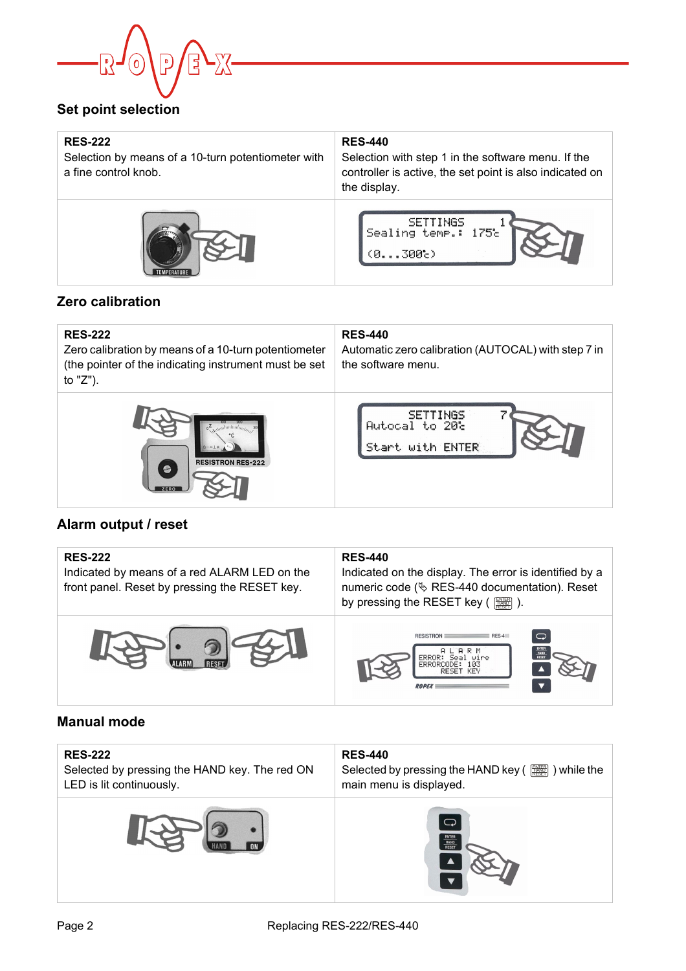

## **Set point selection**

| <b>RES-222</b><br>Selection by means of a 10-turn potentiometer with<br>a fine control knob. | <b>RES-440</b><br>Selection with step 1 in the software menu. If the<br>controller is active, the set point is also indicated on<br>the display. |  |
|----------------------------------------------------------------------------------------------|--------------------------------------------------------------------------------------------------------------------------------------------------|--|
|                                                                                              | <b>SETTINGS</b><br>Sealing temp.: 175%<br>(0300c)                                                                                                |  |

## **Zero calibration**

| <b>RES-222</b><br>Zero calibration by means of a 10-turn potentiometer<br>(the pointer of the indicating instrument must be set<br>to "Z"). | <b>RES-440</b><br>Automatic zero calibration (AUTOCAL) with step 7 in<br>the software menu. |
|---------------------------------------------------------------------------------------------------------------------------------------------|---------------------------------------------------------------------------------------------|
| <b>RESISTRON RES-222</b>                                                                                                                    | <b>SETTINGS</b><br>Autocal to 20%<br>Start with ENTER                                       |

## **Alarm output / reset**

| <b>RES-222</b><br>Indicated by means of a red ALARM LED on the<br>front panel. Reset by pressing the RESET key. | <b>RES-440</b><br>Indicated on the display. The error is identified by a<br>numeric code ( $\&$ RES-440 documentation). Reset<br>by pressing the RESET key ( |  |  |
|-----------------------------------------------------------------------------------------------------------------|--------------------------------------------------------------------------------------------------------------------------------------------------------------|--|--|
|                                                                                                                 | $\bigcirc$<br><b>RESISTRON</b><br>$RES-4$                                                                                                                    |  |  |

## **Manual mode**

| <b>RES-222</b><br>Selected by pressing the HAND key. The red ON<br>LED is lit continuously. | <b>RES-440</b><br>Selected by pressing the HAND key ( <br>) while the<br>main menu is displayed. |
|---------------------------------------------------------------------------------------------|--------------------------------------------------------------------------------------------------|
|                                                                                             | $\bigcirc$<br>ENTER<br>HAND<br>RESET                                                             |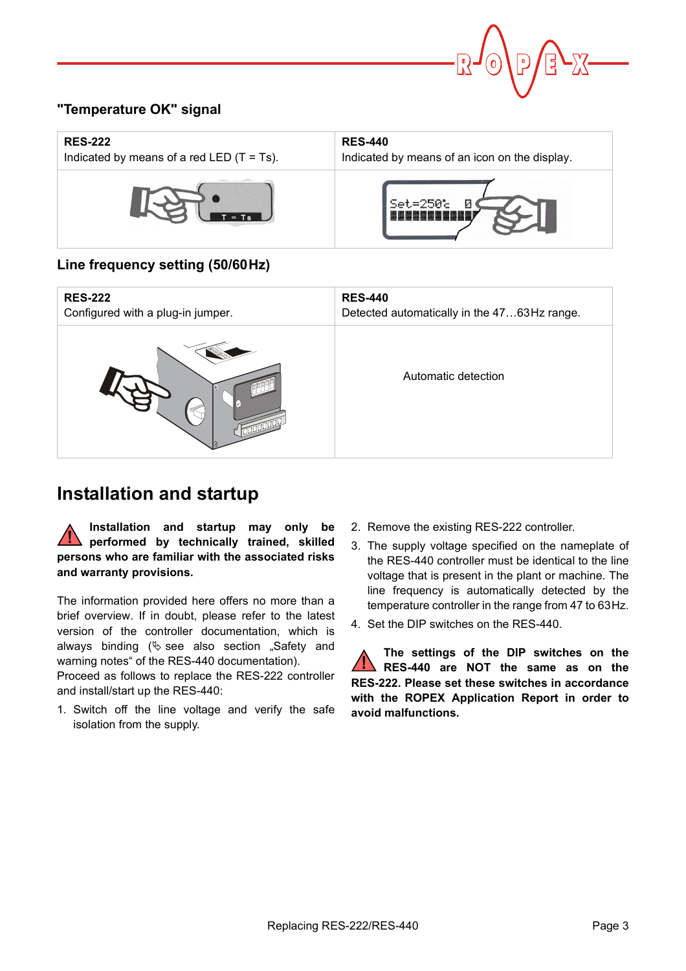

## **"Temperature OK" signal**

| <b>RES-222</b>                               | <b>RES-440</b>                                |  |
|----------------------------------------------|-----------------------------------------------|--|
| Indicated by means of a red LED $(T = Ts)$ . | Indicated by means of an icon on the display. |  |
|                                              | $Set = 250$ c                                 |  |

#### **Line frequency setting (50/60Hz)**

| <b>RES-222</b>                    | <b>RES-440</b>                              |
|-----------------------------------|---------------------------------------------|
| Configured with a plug-in jumper. | Detected automatically in the 4763Hz range. |
|                                   | Automatic detection                         |

## **Installation and startup**

**Installation and startup may only be performed by technically trained, skilled persons who are familiar with the associated risks and warranty provisions. !**

The information provided here offers no more than a brief overview. If in doubt, please refer to the latest version of the controller documentation, which is always binding  $(\&$  see also section "Safety and warning notes" of the RES-440 documentation).

Proceed as follows to replace the RES-222 controller and install/start up the RES-440:

1. Switch off the line voltage and verify the safe isolation from the supply.

- 2. Remove the existing RES-222 controller.
- 3. The supply voltage specified on the nameplate of the RES-440 controller must be identical to the line voltage that is present in the plant or machine. The line frequency is automatically detected by the temperature controller in the range from 47 to 63Hz.
- 4. Set the DIP switches on the RES-440.

**The settings of the DIP switches on the RES-440 are NOT the same as on the RES-222. Please set these switches in accordance with the ROPEX Application Report in order to avoid malfunctions. !**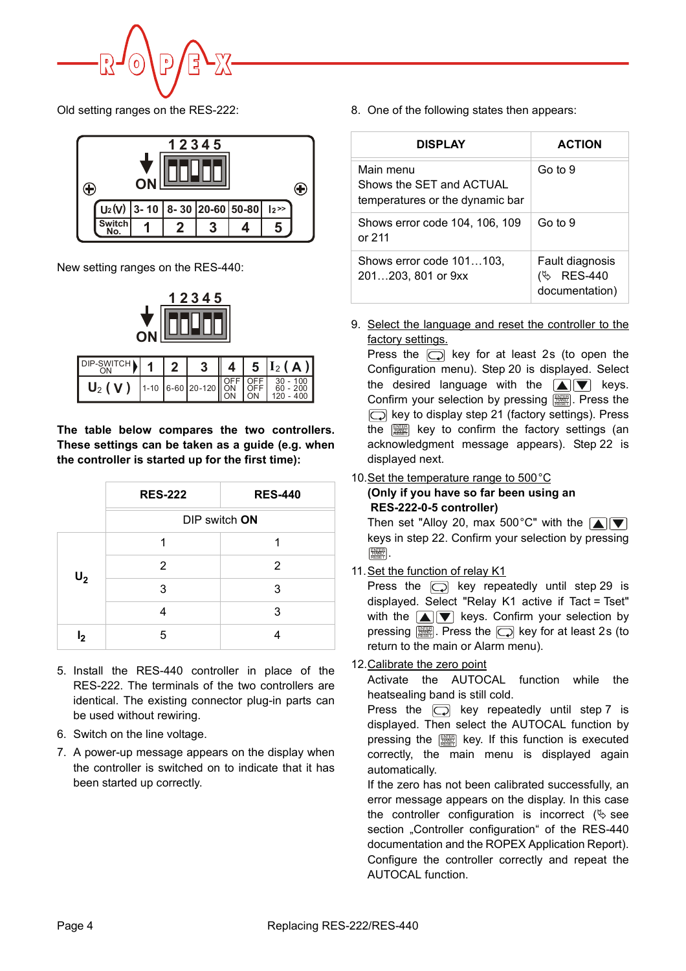

Old setting ranges on the RES-222:



New setting ranges on the RES-440:



| DIP-SWITCH |  |  | $4   5   I_2(A) $                   |
|------------|--|--|-------------------------------------|
| $U_2(V)$   |  |  | $1-10$ 6-60 20-120 OFF OFF 30 - 100 |

**The table below compares the two controllers. These settings can be taken as a guide (e.g. when the controller is started up for the first time):**

|                | <b>RES-222</b> | <b>RES-440</b> |  |
|----------------|----------------|----------------|--|
|                | DIP switch ON  |                |  |
| 1              |                | 1              |  |
| $U_2$          | 2              | 2              |  |
|                | 3              | 3              |  |
|                | 4              | 3              |  |
| l <sub>2</sub> | 5              |                |  |

- 5. Install the RES-440 controller in place of the RES-222. The terminals of the two controllers are identical. The existing connector plug-in parts can be used without rewiring.
- 6. Switch on the line voltage.
- 7. A power-up message appears on the display when the controller is switched on to indicate that it has been started up correctly.

8. One of the following states then appears:

| <b>DISPLAY</b>                                                           | <b>ACTION</b>                                                        |  |
|--------------------------------------------------------------------------|----------------------------------------------------------------------|--|
| Main menu<br>Shows the SET and ACTUAL<br>temperatures or the dynamic bar | Go to 9                                                              |  |
| Shows error code 104, 106, 109<br>or $211$                               | Go to 9                                                              |  |
| Shows error code 101103,<br>201203, 801 or 9xx                           | Fault diagnosis<br><b>RES-440</b><br>$\mathscr{P}$<br>documentation) |  |

9. Select the language and reset the controller to the factory settings.

Press the  $\Box$  key for at least 2s (to open the Configuration menu). Step 20 is displayed. Select the desired language with the  $\blacksquare$  $\blacksquare$  keys. Confirm your selection by pressing [ Figst Press the  $\boxed{\bigcirc}$  key to display step 21 (factory settings). Press the  $\left[\begin{smallmatrix}\mathbb{R}\mathbb{R}^n\\ \mathbb{R}\mathbb{R}^n\end{smallmatrix}\right]$  key to confirm the factory settings (an acknowledgment message appears). Step 22 is displayed next.

#### 10. Set the temperature range to 500 °C

#### **(Only if you have so far been using an RES-222-0-5 controller)**

Then set "Alloy 20, max 500°C" with the  $\boxed{\blacktriangle}$ keys in step 22. Confirm your selection by pressing . ENTER HAND RESET

11.Set the function of relay K1

Press the  $\Box$  key repeatedly until step 29 is displayed. Select "Relay K1 active if Tact = Tset" with the  $\boxed{\blacktriangle}$   $\boxed{\blacktriangledown}$  keys. Confirm your selection by pressing . Press the key for at least 2s (to ENTER HAND RESET return to the main or Alarm menu).

12.Calibrate the zero point

Activate the AUTOCAL function while the heatsealing band is still cold.

Press the  $\Box$  key repeatedly until step 7 is displayed. Then select the AUTOCAL function by pressing the key. If this function is executed correctly, the main menu is displayed again automatically.

If the zero has not been calibrated successfully, an error message appears on the display. In this case the controller configuration is incorrect  $(\&$  see section "Controller configuration" of the RES-440 documentation and the ROPEX Application Report). Configure the controller correctly and repeat the AUTOCAL function.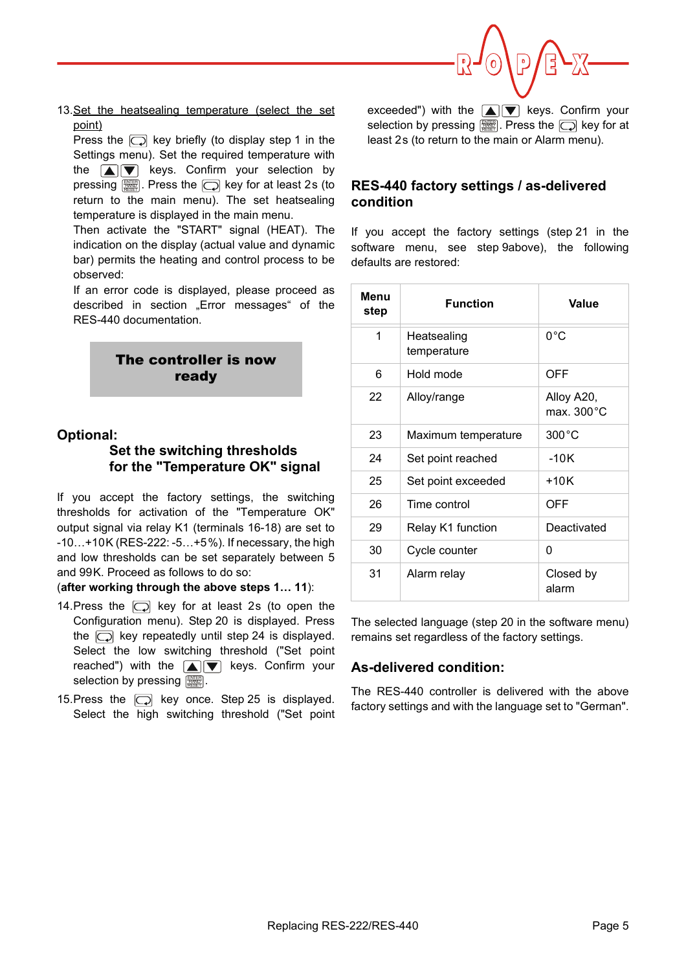

13.Set the heatsealing temperature (select the set point)

Press the  $\Box$  key briefly (to display step 1 in the Settings menu). Set the required temperature with the  $\Box \nabla$  keys. Confirm your selection by pressing  $\left[\begin{smallmatrix}\mathbb{R}\mathbb{R}\mathbb{R}\end{smallmatrix}\right]$ . Press the  $\left[\bigcirc\right]$  key for at least 2s (to return to the main menu). The set heatsealing temperature is displayed in the main menu.

Then activate the "START" signal (HEAT). The indication on the display (actual value and dynamic bar) permits the heating and control process to be observed:

If an error code is displayed, please proceed as described in section "Error messages" of the RES-440 documentation.



#### **Optional:**

#### **Set the switching thresholds for the "Temperature OK" signal**

If you accept the factory settings, the switching thresholds for activation of the "Temperature OK" output signal via relay K1 (terminals 16-18) are set to -10…+10K (RES-222: -5…+5%). If necessary, the high and low thresholds can be set separately between 5 and 99K. Proceed as follows to do so:

#### (**after working through the above steps 1… 11**):

- 14. Press the  $\Box$  key for at least 2s (to open the Configuration menu). Step 20 is displayed. Press the  $\Box$  key repeatedly until step 24 is displayed. Select the low switching threshold ("Set point reached") with the  $\blacksquare$  $\blacksquare$  keys. Confirm your selection by pressing  $\left[\begin{smallmatrix}\frac{nm}{nm}\end{smallmatrix}\right]$ .
- 15. Press the  $\Box$  key once. Step 25 is displayed. Select the high switching threshold ("Set point

exceeded") with the  $\boxed{\blacktriangle}$   $\boxed{\blacktriangledown}$  keys. Confirm your selection by pressing  $[\![\overline{\mathbb{R}\mathbb{R}}]\!]$ . Press the  $[\![\overline{\frown}\!]$  key for at least 2s (to return to the main or Alarm menu).

#### **RES-440 factory settings / as-delivered condition**

If you accept the factory settings (step 21 in the software menu, see step 9above), the following defaults are restored:

| Menu<br>step | <b>Function</b>            | Value                              |
|--------------|----------------------------|------------------------------------|
| 1            | Heatsealing<br>temperature | $0^{\circ}$ C                      |
| 6            | Hold mode                  | OFF                                |
| 22           | Alloy/range                | Alloy A20,<br>max. $300^{\circ}$ C |
| 23           | Maximum temperature        | $300^{\circ}$ C                    |
| 24           | Set point reached          | $-10K$                             |
| 25           | Set point exceeded         | +10K                               |
| 26           | Time control               | OFF                                |
| 29           | Relay K1 function          | Deactivated                        |
| 30           | Cycle counter              | 0                                  |
| 31           | Alarm relay                | Closed by<br>alarm                 |

The selected language (step 20 in the software menu) remains set regardless of the factory settings.

#### **As-delivered condition:**

The RES-440 controller is delivered with the above factory settings and with the language set to "German".